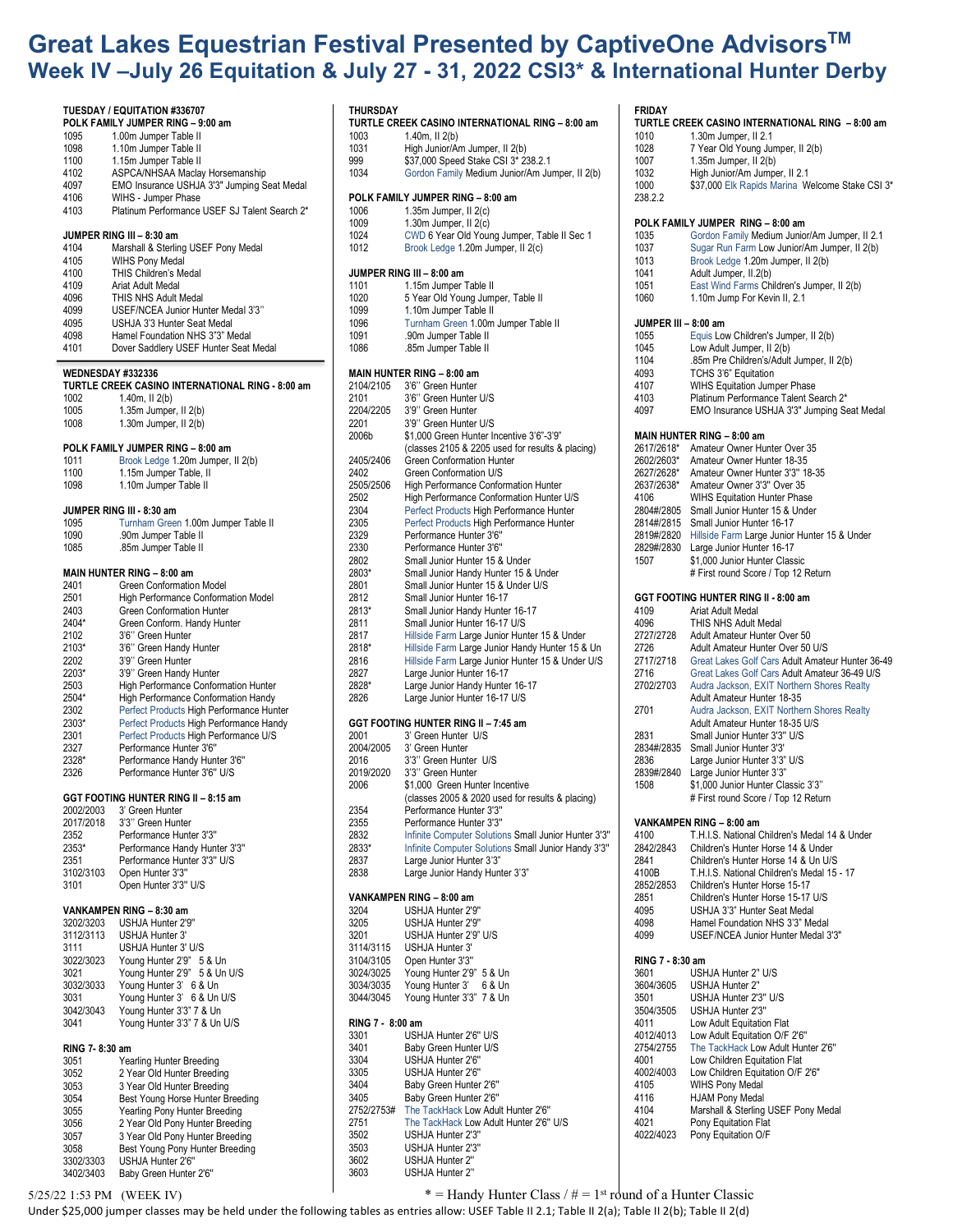## **Great Lakes Equestrian Festival Presented by CaptiveOne AdvisorsTM Week IV –July 26 Equitation & July 27 - 31, 2022 CSI3\* & International Hunter Derby**

**TURTLE CREEK CASINO INTERNATIONAL RING – 8:00 am**

High Junior/Am Jumper, II 2(b)

**THURSDAY**

1003 1.40m, II 2(b)<br>1031 High Junior/A

|                          | ek IV –July 26 Equitatior                        |
|--------------------------|--------------------------------------------------|
|                          | TUESDAY / EQUITATION #336707                     |
|                          | POLK FAMILY JUMPER RING - 9:00 am                |
| 1095                     | 1.00m Jumper Table II                            |
| 1098                     | 1.10m Jumper Table II                            |
| 1100                     | 1.15m Jumper Table II                            |
| 4102                     | ASPCA/NHSAA Maclay Horsemanship                  |
| 4097                     | EMO Insurance USHJA 3'3" Jumping Seat Medal      |
|                          |                                                  |
| 4106                     | WIHS - Jumper Phase                              |
| 4103                     | Platinum Performance USEF SJ Talent Search 2*    |
|                          | JUMPER RING III - 8:30 am                        |
| 4104                     |                                                  |
|                          | Marshall & Sterling USEF Pony Medal              |
| 4105                     | <b>WIHS Pony Medal</b>                           |
| 4100                     | <b>THIS Children's Medal</b>                     |
| 4109                     | Ariat Adult Medal                                |
| 4096                     | THIS NHS Adult Medal                             |
| 4099                     | USEF/NCEA Junior Hunter Medal 3'3"               |
| 4095                     | USHJA 3'3 Hunter Seat Medal                      |
| 4098                     | Hamel Foundation NHS 3"3" Medal                  |
| 4101                     | Dover Saddlery USEF Hunter Seat Medal            |
|                          |                                                  |
| <b>WEDNESDAY #332336</b> |                                                  |
|                          | TURTLE CREEK CASINO INTERNATIONAL RING - 8:00 am |
| 1002                     | 1.40 $m$ , II $2(b)$                             |
| 1005                     | $1.35m$ Jumper, II $2(b)$                        |
|                          |                                                  |
| 1008                     | $1.30m$ Jumper, $II$ $2(b)$                      |
|                          |                                                  |
|                          | POLK FAMILY JUMPER RING - 8:00 am                |
| 1011                     | Brook Ledge 1.20m Jumper, II 2(b)                |
| 1100                     | 1.15m Jumper Table, II                           |
| 1098                     | 1.10m Jumper Table II                            |
|                          |                                                  |
|                          | JUMPER RING III - 8:30 am                        |
| 1095                     | Turnham Green 1.00m Jumper Table II              |
| 1090                     | .90m Jumper Table II                             |
| 1085                     | .85m Jumper Table II                             |
|                          |                                                  |
|                          | MAIN HUNTER RING - 8:00 am                       |
| 2401                     | <b>Green Conformation Model</b>                  |
| 2501                     | High Performance Conformation Model              |
| 2403                     | Green Conformation Hunter                        |
| 2404*                    |                                                  |
|                          | Green Conform. Handy Hunter                      |
| 2102                     | 3'6" Green Hunter                                |
| 2103*                    | 3'6" Green Handy Hunter                          |
| 2202                     | 3'9" Green Hunter                                |
| 2203*                    | 3'9" Green Handy Hunter                          |
| 2503                     | High Performance Conformation Hunter             |
| 2504*                    | High Performance Conformation Handy              |
| 2302                     | Perfect Products High Performance Hunter         |
| 2303*                    | Perfect Products High Performance Handy          |
| 2301                     | Perfect Products High Performance U/S            |
| 2327                     | Performance Hunter 3'6"                          |
| 2328*                    |                                                  |
|                          | Performance Handy Hunter 3'6"                    |
| 2326                     | Performance Hunter 3'6" U/S                      |
|                          |                                                  |
|                          | GGT FOOTING HUNTER RING II - 8:15 am             |
| 2002/2003                | 3' Green Hunter                                  |
| 2017/2018                | 3'3" Green Hunter                                |
| 2352                     | Performance Hunter 3'3"                          |
| 2353*                    | Performance Handy Hunter 3'3"                    |
| 2351                     | Performance Hunter 3'3" U/S                      |
| 3102/3103                | Open Hunter 3'3"                                 |
| 3101                     | Open Hunter 3'3" U/S                             |
|                          |                                                  |
|                          | VANKAMPEN RING - 8:30 am                         |
| 3202/3203                | USHJA Hunter 2'9"                                |
| 3112/3113                | USHJA Hunter 3'                                  |
| 3111                     | USHJA Hunter 3' U/S                              |
|                          |                                                  |
| 3022/3023                | Young Hunter 2'9" 5 & Un                         |
| 3021                     | Young Hunter 2'9" 5 & Un U/S                     |
| 3032/3033                | Young Hunter 3' 6 & Un                           |
| 3031                     | Young Hunter 3' 6 & Un U/S                       |
| 3042/3043                | Young Hunter 3'3" 7 & Un                         |
| 3041                     | Young Hunter 3'3" 7 & Un U/S                     |
|                          |                                                  |
| RING 7-8:30 am           |                                                  |
| 3051                     | Yearling Hunter Breeding                         |
| 3052                     | 2 Year Old Hunter Breeding                       |
|                          |                                                  |
| 3053                     | 3 Year Old Hunter Breeding                       |
| 3054                     | Best Young Horse Hunter Breeding                 |
| 3055                     | Vearling Pony Hunter Breeding                    |

**TURTLE CREEK CASINO INTERNATIONAL RING - 8:00 am**

| 999<br>1034                       | \$37,000 Speed Stake CSI 3* 238.2.1<br>Gordon Family Medium Junior/Am Jumper, II 2(b) |  |  |  |
|-----------------------------------|---------------------------------------------------------------------------------------|--|--|--|
| POLK FAMILY JUMPER RING - 8:00 am |                                                                                       |  |  |  |
| 1006                              | 1.35m Jumper, II 2(c)                                                                 |  |  |  |
| 1009                              | 1.30 $m$ Jumper, II $2(c)$                                                            |  |  |  |
| 1024                              | CWD 6 Year Old Young Jumper, Table II Sec 1                                           |  |  |  |
| 1012                              | Brook Ledge 1.20m Jumper, II 2(c)                                                     |  |  |  |
|                                   | JUMPER RING III - 8:00 am                                                             |  |  |  |
| 1101                              | 1.15m Jumper Table II                                                                 |  |  |  |
| 1020                              | 5 Year Old Young Jumper, Table II                                                     |  |  |  |
| 1099                              | 1.10m Jumper Table II                                                                 |  |  |  |
| 1096                              | Turnham Green 1.00m Jumper Table II                                                   |  |  |  |
| 1091<br>1086                      | .90m Jumper Table II<br>.85m Jumper Table II                                          |  |  |  |
| <b>MAIN HUNTER RING - 8:00 am</b> |                                                                                       |  |  |  |
| 2104/2105                         | 3'6" Green Hunter                                                                     |  |  |  |
| 2101                              | 3'6" Green Hunter U/S                                                                 |  |  |  |
| 2204/2205                         | 3'9" Green Hunter                                                                     |  |  |  |
| 2201                              | 3'9" Green Hunter U/S                                                                 |  |  |  |
| 2006b                             | \$1,000 Green Hunter Incentive 3'6"-3'9"                                              |  |  |  |
|                                   | (classes 2105 & 2205 used for results & placing)                                      |  |  |  |
| 2405/2406                         | <b>Green Conformation Hunter</b>                                                      |  |  |  |
| 2402                              | Green Conformation U/S                                                                |  |  |  |
| 2505/2506                         | High Performance Conformation Hunter                                                  |  |  |  |
| 2502<br>2304                      | High Performance Conformation Hunter U/S                                              |  |  |  |
|                                   | Perfect Products High Performance Hunter<br>Perfect Products High Performance Hunter  |  |  |  |
| 2305                              |                                                                                       |  |  |  |
| 2329                              | Performance Hunter 3'6"<br>Performance Hunter 3'6"                                    |  |  |  |
| 2330<br>2802                      | Small Junior Hunter 15 & Under                                                        |  |  |  |
| 2803*                             | Small Junior Handy Hunter 15 & Under                                                  |  |  |  |
| 2801                              | Small Junior Hunter 15 & Under U/S                                                    |  |  |  |
| 2812                              | Small Junior Hunter 16-17                                                             |  |  |  |
| 2813*                             | Small Junior Handy Hunter 16-17                                                       |  |  |  |
| 2811                              | Small Junior Hunter 16-17 U/S                                                         |  |  |  |
| 2817                              | Hillside Farm Large Junior Hunter 15 & Under                                          |  |  |  |
| 2818*                             | Hillside Farm Large Junior Handy Hunter 15 & Un                                       |  |  |  |
| 2816                              | Hillside Farm Large Junior Hunter 15 & Under U/S                                      |  |  |  |
| 2827                              | Large Junior Hunter 16-17                                                             |  |  |  |
| 2828*                             | Large Junior Handy Hunter 16-17                                                       |  |  |  |
| 2826                              | Large Junior Hunter 16-17 U/S                                                         |  |  |  |
|                                   | GGT FOOTING HUNTER RING II - 7:45 am                                                  |  |  |  |
| 2001                              | 3' Green Hunter U/S                                                                   |  |  |  |
| 2004/2005                         | 3' Green Hunter                                                                       |  |  |  |
| 2016                              | 3'3" Green Hunter U/S                                                                 |  |  |  |
| 2019/2020                         | 3'3" Green Hunter                                                                     |  |  |  |
| 2006                              | \$1,000 Green Hunter Incentive                                                        |  |  |  |
|                                   | (classes 2005 & 2020 used for results & placing)                                      |  |  |  |
| 2354                              | Performance Hunter 3'3"                                                               |  |  |  |
| 2355                              | Performance Hunter 3'3"                                                               |  |  |  |
| 2832                              | Infinite Computer Solutions Small Junior Hunter 3'3"                                  |  |  |  |
| 2833*                             | Infinite Computer Solutions Small Junior Handy 3'3"                                   |  |  |  |
| 2837                              | Large Junior Hunter 3'3"                                                              |  |  |  |
| 2838                              | Large Junior Handy Hunter 3'3"                                                        |  |  |  |
|                                   | VANKAMPEN RING - 8:00 am                                                              |  |  |  |
| 3204                              | USHJA Hunter 2'9"                                                                     |  |  |  |
| 3205                              | USHJA Hunter 2'9"                                                                     |  |  |  |
| 3201                              | USHJA Hunter 2'9" U/S                                                                 |  |  |  |
| 3114/3115                         | USHJA Hunter 3'                                                                       |  |  |  |
| 3104/3105                         | Open Hunter 3'3"                                                                      |  |  |  |
| 3024/3025                         | Young Hunter 2'9" 5 & Un                                                              |  |  |  |
| 3034/3035                         | Young Hunter 3'<br>6 & Un                                                             |  |  |  |
| 3044/3045                         | Young Hunter 3'3" 7 & Un                                                              |  |  |  |
| RING 7 - 8:00 am                  |                                                                                       |  |  |  |
| 3301                              | USHJA Hunter 2'6" U/S                                                                 |  |  |  |
| 3401                              | Baby Green Hunter U/S                                                                 |  |  |  |
| 3304                              | USHJA Hunter 2'6"                                                                     |  |  |  |
| 3305                              | USHJA Hunter 2'6"                                                                     |  |  |  |
| 3404                              | Baby Green Hunter 2'6"                                                                |  |  |  |
| 3405                              | Baby Green Hunter 2'6"                                                                |  |  |  |
| 2752/2753#                        | The TackHack Low Adult Hunter 2'6"                                                    |  |  |  |
| 2751                              | The TackHack Low Adult Hunter 2'6" U/S                                                |  |  |  |
| 3502                              | USHJA Hunter 2'3"                                                                     |  |  |  |
| 3503                              | USHJA Hunter 2'3"                                                                     |  |  |  |
| 3602                              | USHJA Hunter 2"                                                                       |  |  |  |
| 3603                              | USHJA Hunter 2"                                                                       |  |  |  |
|                                   |                                                                                       |  |  |  |

## **FRIDAY TURTLE CREEK CASINO INTERNATIONAL RING – 8:00 am** 1010 1.30m Jumper, II 2.1 1028 7 Year Old Young Jumper, II 2(b) 1007 1.35m Jumper, II 2(b)<br>1032 High Junior/Am Jumpe 1032 High Junior/Am Jumper, II 2.1<br>1000 \$37.000 Elk Rapids Marina W \$37,000 Elk Rapids Marina Welcome Stake CSI 3\* 238.2.2 **POLK FAMILY JUMPER RING – 8:00 am** 1035 Gordon Family Medium Junior/Am Jumper, II 2.1 Sugar Run Farm Low Junior/Am Jumper, II 2(b) 1013 Brook Ledge 1.20m Jumper, II 2(b) Adult Jumper, II.2(b) 1051 East Wind Farms Children's Jumper, II 2(b) 1.10m Jump For Kevin II, 2.1 **JUMPER III – 8:00 am**  1055 Equis Low Children's Jumper, II 2(b) 1045 Low Adult Jumper, II 2(b)<br>1104 85m Pre Children's/Adult 1104 .85m Pre Children's/Adult Jumper, II 2(b)<br>4093 . TCHS 3'6" Fquitation 4093 TCHS 3'6" Equitation<br>4107 WIHS Equitation Jum WIHS Equitation Jumper Phase 4103 Platinum Performance Talent Search 2\*<br>4097 EMO Insurance USHJA 3'3" Jumping Se EMO Insurance USHJA 3'3" Jumping Seat Medal **MAIN HUNTER RING – 8:00 am** 2617/2618\* Amateur Owner Hunter Over 35<br>2602/2603\* Amateur Owner Hunter 18-35 Amateur Owner Hunter 18-35 2627/2628\* Amateur Owner Hunter 3'3'' 18-35 2637/2638\* Amateur Owner 3'3" Over 35<br>4106 WIHS Fquitation Hunter Phas WIHS Equitation Hunter Phase 2804#/2805 Small Junior Hunter 15 & Under 2814#/2815 Small Junior Hunter 16-17 2819#/2820 Hillside Farm Large Junior Hunter 15 & Under 2829#/2830 Large Junior Hunter 16-17 1507 \$1,000 Junior Hunter Classic # First round Score / Top 12 Return **GGT FOOTING HUNTER RING II - 8:00 am** 4109 Ariat Adult Medal<br>Ange THIS NHS Adult I 4096 THIS NHS Adult Medal<br>2727/2728 Adult Amateur Hunter ( 2727/2728 Adult Amateur Hunter Over 50<br>2726 Adult Amateur Hunter Over 50 2726 Adult Amateur Hunter Over 50 U/S<br>2717/2718 Great Lakes Golf Cars Adult Amate 2717/2718 Great Lakes Golf Cars Adult Amateur Hunter 36-49 2716 Great Lakes Golf Cars Adult Amateur 36-49 U/S<br>2702/2703 Audra Jackson, EXIT Northern Shores Realty Audra Jackson, EXIT Northern Shores Realty Adult Amateur Hunter 18-35 2701 Audra Jackson, EXIT Northern Shores Realty Adult Amateur Hunter 18-35 U/S 2831 Small Junior Hunter 3'3'' U/S 2834#/2835 Small Junior Hunter 3'3' Large Junior Hunter 3'3" U/S 2839#/2840 Large Junior Hunter 3'3"<br>1508 S1 000 Junior Hunter Cli 1508 \$1,000 Junior Hunter Classic 3'3'' # First round Score / Top 12 Return **VANKAMPEN RING – 8:00 am** 4100 T.H.I.S. National Children's Medal 14 & Under 2842/2843 Children's Hunter Horse 14 & Under 2841 Children's Hunter Horse 14 & Un U/S 4100B T.H.I.S. National Children's Medal 15 - 17 2852/2853 Children's Hunter Horse 15-17 2851 Children's Hunter Horse 15-17 U/S 4095 USHJA 3'3" Hunter Seat Medal Hamel Foundation NHS 3'3" Medal 4099 USEF/NCEA Junior Hunter Medal 3'3" **RING 7 - 8:30 am** 3601 USHJA Hunter 2'' U/S 3604/3605 USHJA Hunter 2'' 3501 USHJA Hunter 2'3'' U/S 3504/3505 USHJA Hunter 2'3'' 4011 Low Adult Equitation Flat<br>4012/4013 Low Adult Equitation O/F 4012/4013 Low Adult Equitation O/F 2'6'' 2754/2755 The TackHack Low Adult Hunter 2'6"<br>4001 Low Children Equitation Flat 4001 Low Children Equitation Flat<br>4002/4003 Low Children Equitation O/F 4002/4003 Low Children Equitation O/F 2'6'' 4105 WIHS Pony Medal<br>4116 HJAM Pony Medal 4116 HJAM Pony Medal<br>4104 Marshall & Sterling Marshall & Sterling USEF Pony Medal 4021 Pony Equitation Flat<br>4022/4023 Pony Equitation O/F Pony Equitation O/F

3302/3303 USHJA Hunter 2'6''

Yearling Pony Hunter Breeding 3056 2 Year Old Pony Hunter Breeding<br>3057 3 Year Old Pony Hunter Breeding 3 Year Old Pony Hunter Breeding

3058 Best Young Pony Hunter Breeding

Baby Green Hunter 2'6"

 $5/25/22$  1:53 PM (WEEK IV)  $* =$  Handy Hunter Class  $/ \# = 1$ <sup>st</sup> round of a Hunter Classic

Under \$25,000 jumper classes may be held under the following tables as entries allow: USEF Table II 2.1; Table II 2(a); Table II 2(b); Table II 2(d)